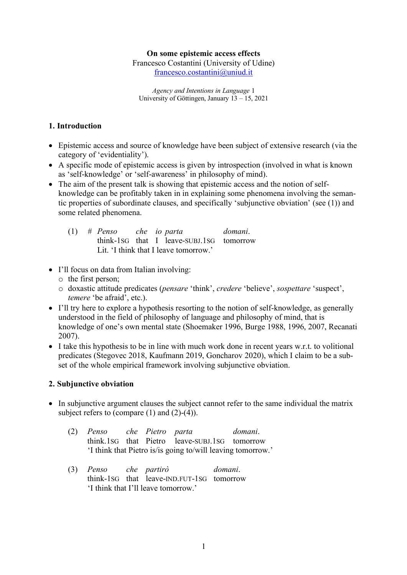#### **On some epistemic access effects**

Francesco Costantini (University of Udine) francesco.costantini@uniud.it

*Agency and Intentions in Language* 1 University of Göttingen, January 13 – 15, 2021

### **1. Introduction**

- Epistemic access and source of knowledge have been subject of extensive research (via the category of 'evidentiality').
- A specific mode of epistemic access is given by introspection (involved in what is known as 'self-knowledge' or 'self-awareness' in philosophy of mind).
- The aim of the present talk is showing that epistemic access and the notion of selfknowledge can be profitably taken in in explaining some phenomena involving the semantic properties of subordinate clauses, and specifically 'subjunctive obviation' (see (1)) and some related phenomena.

| $(1)$ # Penso che io parta            |  | domani.                                  |
|---------------------------------------|--|------------------------------------------|
|                                       |  | think-1sG that I leave-subj.1sG tomorrow |
| Lit. 'I think that I leave tomorrow.' |  |                                          |

- I'll focus on data from Italian involving:
	- o the first person;
	- o doxastic attitude predicates (*pensare* 'think', *credere* 'believe', *sospettare* 'suspect', *temere* 'be afraid', etc.).
- I'll try here to explore a hypothesis resorting to the notion of self-knowledge, as generally understood in the field of philosophy of language and philosophy of mind, that is knowledge of one's own mental state (Shoemaker 1996, Burge 1988, 1996, 2007, Recanati 2007).
- I take this hypothesis to be in line with much work done in recent years w.r.t. to volitional predicates (Stegovec 2018, Kaufmann 2019, Goncharov 2020), which I claim to be a subset of the whole empirical framework involving subjunctive obviation.

#### **2. Subjunctive obviation**

• In subjunctive argument clauses the subject cannot refer to the same individual the matrix subject refers to (compare  $(1)$  and  $(2)-(4)$ ).

| $(2)$ Penso | che Pietro parta |                                                             | domani. |
|-------------|------------------|-------------------------------------------------------------|---------|
|             |                  | think. 1sG that Pietro leave-subj. 1sG tomorrow             |         |
|             |                  | 'I think that Pietro is/is going to/will leaving tomorrow.' |         |

(3) *Penso che partirò domani*. think-1SG that leave-IND.FUT-1SG tomorrow 'I think that I'll leave tomorrow.'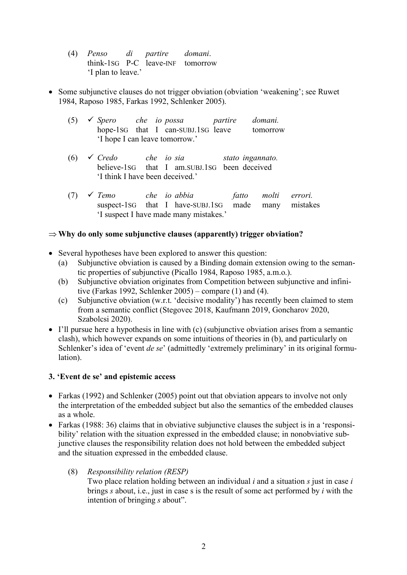- (4) *Penso di partire domani*. think-1SG P-C leave-INF tomorrow 'I plan to leave.'
- Some subjunctive clauses do not trigger obviation (obviation 'weakening'; see Ruwet 1984, Raposo 1985, Farkas 1992, Schlenker 2005).
	- (5) ü *Spero che io possa partire domani.* hope-1SG that I can-SUBJ.1SG leave tomorrow 'I hope I can leave tomorrow.'
	- (6) ü *Credo che io sia stato ingannato.* believe-1SG that I am.SUBJ.1SG been deceived 'I think I have been deceived.'
	- (7) ü *Temo che io abbia fatto molti errori.* suspect-1SG that I have-SUBJ.1SG made many mistakes 'I suspect I have made many mistakes.'

# $\Rightarrow$  Why do only some subjunctive clauses (apparently) trigger obviation?

- Several hypotheses have been explored to answer this question:
	- (a) Subjunctive obviation is caused by a Binding domain extension owing to the semantic properties of subjunctive (Picallo 1984, Raposo 1985, a.m.o.).
	- (b) Subjunctive obviation originates from Competition between subjunctive and infinitive (Farkas 1992, Schlenker 2005) – compare (1) and (4).
	- (c) Subjunctive obviation (w.r.t. 'decisive modality') has recently been claimed to stem from a semantic conflict (Stegovec 2018, Kaufmann 2019, Goncharov 2020, Szabolcsi 2020).
- I'll pursue here a hypothesis in line with (c) (subjunctive obviation arises from a semantic clash), which however expands on some intuitions of theories in (b), and particularly on Schlenker's idea of 'event *de se*' (admittedly 'extremely preliminary' in its original formulation).

# **3. 'Event de se' and epistemic access**

- Farkas (1992) and Schlenker (2005) point out that obviation appears to involve not only the interpretation of the embedded subject but also the semantics of the embedded clauses as a whole.
- Farkas (1988: 36) claims that in obviative subjunctive clauses the subject is in a 'responsibility' relation with the situation expressed in the embedded clause; in nonobviative subjunctive clauses the responsibility relation does not hold between the embedded subject and the situation expressed in the embedded clause.

# (8) *Responsibility relation (RESP)*

Two place relation holding between an individual *i* and a situation *s* just in case *i* brings *s* about, i.e., just in case s is the result of some act performed by *i* with the intention of bringing *s* about".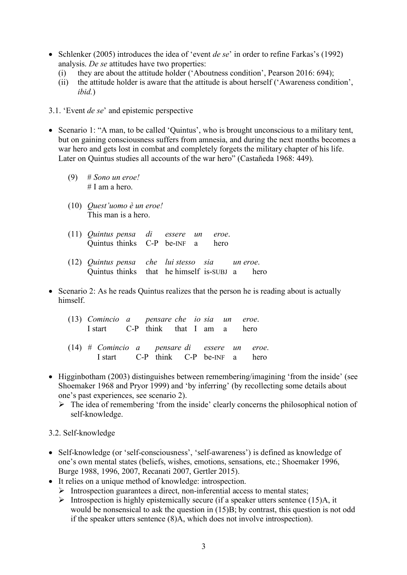- Schlenker (2005) introduces the idea of 'event *de se*' in order to refine Farkas's (1992) analysis. *De se* attitudes have two properties:
	- (i) they are about the attitude holder ('Aboutness condition', Pearson 2016: 694);
	- (ii) the attitude holder is aware that the attitude is about herself ('Awareness condition', *ibid.*)
- 3.1. 'Event *de se*' and epistemic perspective
- Scenario 1: "A man, to be called 'Quintus', who is brought unconscious to a military tent, but on gaining consciousness suffers from amnesia, and during the next months becomes a war hero and gets lost in combat and completely forgets the military chapter of his life. Later on Quintus studies all accounts of the war hero" (Castañeda 1968: 449).
	- (9) # *Sono un eroe!* # I am a hero.
	- (10) *Quest'uomo è un eroe!* This man is a hero.
	- (11) *Quintus pensa di essere un eroe*. Quintus thinks C-P be-INF a hero
	- (12) *Quintus pensa che lui stesso sia un eroe*. Quintus thinks that he himself is-SUBJ a hero
- Scenario 2: As he reads Quintus realizes that the person he is reading about is actually himself.
	- (13) *Comincio a pensare che io sia un eroe*. I start C-P think that I am a hero
	- (14) *# Comincio a pensare di essere un eroe*. I start C-P think C-P be-INF a hero
- Higginbotham (2003) distinguishes between remembering/imagining 'from the inside' (see Shoemaker 1968 and Pryor 1999) and 'by inferring' (by recollecting some details about one's past experiences, see scenario 2).
	- $\triangleright$  The idea of remembering 'from the inside' clearly concerns the philosophical notion of self-knowledge.

#### 3.2. Self-knowledge

- Self-knowledge (or 'self-consciousness', 'self-awareness') is defined as knowledge of one's own mental states (beliefs, wishes, emotions, sensations, etc.; Shoemaker 1996, Burge 1988, 1996, 2007, Recanati 2007, Gertler 2015).
- It relies on a unique method of knowledge: introspection.
	- $\triangleright$  Introspection guarantees a direct, non-inferential access to mental states;
	- $\triangleright$  Introspection is highly epistemically secure (if a speaker utters sentence (15)A, it would be nonsensical to ask the question in (15)B; by contrast, this question is not odd if the speaker utters sentence (8)A, which does not involve introspection).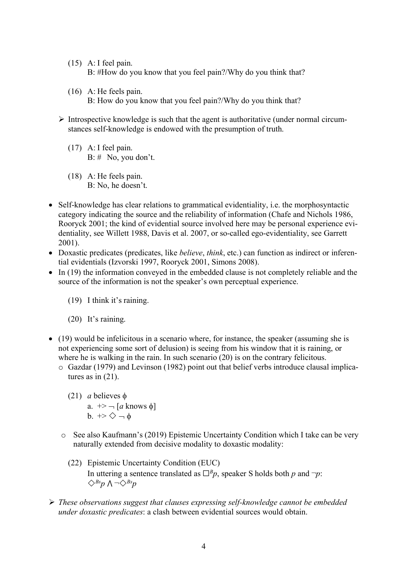- (15) A: I feel pain. B: #How do you know that you feel pain?/Why do you think that?
- (16) A: He feels pain. B: How do you know that you feel pain?/Why do you think that?
- $\triangleright$  Introspective knowledge is such that the agent is authoritative (under normal circumstances self-knowledge is endowed with the presumption of truth.
	- (17) A: I feel pain.  $B: \#$  No, you don't.
	- (18) A: He feels pain. B: No, he doesn't.
- Self-knowledge has clear relations to grammatical evidentiality, i.e. the morphosyntactic category indicating the source and the reliability of information (Chafe and Nichols 1986, Rooryck 2001; the kind of evidential source involved here may be personal experience evidentiality, see Willett 1988, Davis et al. 2007, or so-called ego-evidentiality, see Garrett 2001).
- Doxastic predicates (predicates, like *believe*, *think*, etc.) can function as indirect or inferential evidentials (Izvorski 1997, Rooryck 2001, Simons 2008).
- In (19) the information conveyed in the embedded clause is not completely reliable and the source of the information is not the speaker's own perceptual experience.

(19) I think it's raining.

(20) It's raining.

- (19) would be infelicitous in a scenario where, for instance, the speaker (assuming she is not experiencing some sort of delusion) is seeing from his window that it is raining, or where he is walking in the rain. In such scenario (20) is on the contrary felicitous.
	- o Gazdar (1979) and Levinson (1982) point out that belief verbs introduce clausal implicatures as in (21).
		- (21) *a* believes  $\phi$ a.  $\rightarrow$   $\neg$  [*a* knows  $\phi$ ]  $b. \rightarrow \diamondsuit \rightarrow \phi$
	- o See also Kaufmann's (2019) Epistemic Uncertainty Condition which I take can be very naturally extended from decisive modality to doxastic modality:
		- (22) Epistemic Uncertainty Condition (EUC) In uttering a sentence translated as  $\Box^B p$ , speaker S holds both *p* and  $\neg p$ :  $\diamondsuit$ <sup>*Bs*</sup>*p* ∧ ¬ $\diamondsuit$ <sup>*Bs*</sup>*p*
- Ø *These observations suggest that clauses expressing self-knowledge cannot be embedded under doxastic predicates*: a clash between evidential sources would obtain.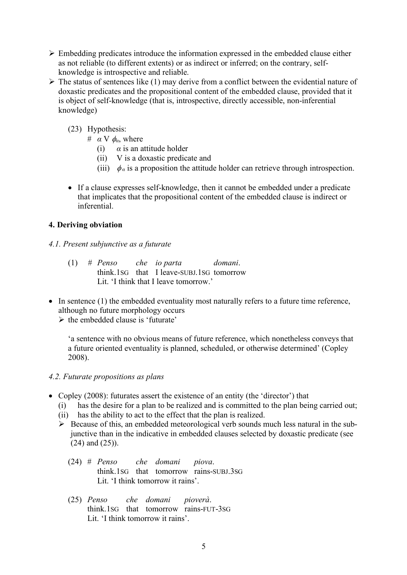- $\triangleright$  Embedding predicates introduce the information expressed in the embedded clause either as not reliable (to different extents) or as indirect or inferred; on the contrary, selfknowledge is introspective and reliable.
- $\triangleright$  The status of sentences like (1) may derive from a conflict between the evidential nature of doxastic predicates and the propositional content of the embedded clause, provided that it is object of self-knowledge (that is, introspective, directly accessible, non-inferential knowledge)
	- (23) Hypothesis:
		- $\#$  *α* V  $\phi$ <sub>*α*</sub>, where
			- (i)  $\alpha$  is an attitude holder
			- (ii) V is a doxastic predicate and
			- (iii)  $\phi_a$  is a proposition the attitude holder can retrieve through introspection.
	- If a clause expresses self-knowledge, then it cannot be embedded under a predicate that implicates that the propositional content of the embedded clause is indirect or inferential.

# **4. Deriving obviation**

- *4.1. Present subjunctive as a futurate*
	- (1) *# Penso che io parta domani*. think.1SG that I leave-SUBJ.1SG tomorrow Lit. 'I think that I leave tomorrow.'
- In sentence (1) the embedded eventuality most naturally refers to a future time reference, although no future morphology occurs

 $\triangleright$  the embedded clause is 'futurate'

'a sentence with no obvious means of future reference, which nonetheless conveys that a future oriented eventuality is planned, scheduled, or otherwise determined' (Copley 2008).

# *4.2. Futurate propositions as plans*

- Copley (2008): futurates assert the existence of an entity (the 'director') that
	- (i) has the desire for a plan to be realized and is committed to the plan being carried out;
	- (ii) has the ability to act to the effect that the plan is realized.
	- $\triangleright$  Because of this, an embedded meteorological verb sounds much less natural in the subjunctive than in the indicative in embedded clauses selected by doxastic predicate (see (24) and (25)).
		- (24) # *Penso che domani piova*. think.1SG that tomorrow rains-SUBJ.3SG Lit. 'I think tomorrow it rains'.
		- (25) *Penso che domani pioverà*. think.1SG that tomorrow rains-FUT-3SG Lit. 'I think tomorrow it rains'.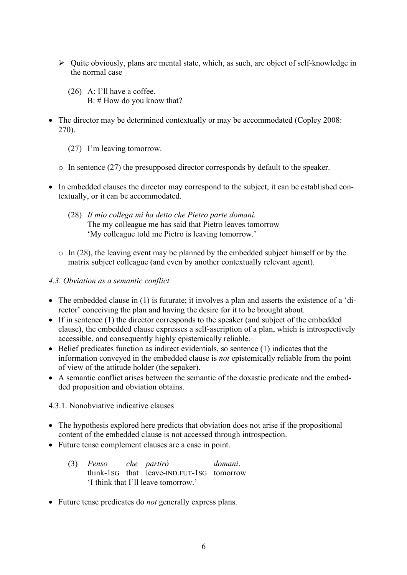- $\triangleright$  Quite obviously, plans are mental state, which, as such, are object of self-knowledge in the normal case
	- (26) A: I'll have a coffee. B: # How do you know that?
- The director may be determined contextually or may be accommodated (Copley 2008: 270).
	- (27) I'm leaving tomorrow.
	- o In sentence (27) the presupposed director corresponds by default to the speaker.
- In embedded clauses the director may correspond to the subject, it can be established contextually, or it can be accommodated.
	- (28) *Il mio collega mi ha detto che Pietro parte domani.* The my colleague me has said that Pietro leaves tomorrow 'My colleague told me Pietro is leaving tomorrow.'
	- $\circ$  In (28), the leaving event may be planned by the embedded subject himself or by the matrix subject colleague (and even by another contextually relevant agent).

### *4.3. Obviation as a semantic conflict*

- The embedded clause in (1) is futurate; it involves a plan and asserts the existence of a 'director' conceiving the plan and having the desire for it to be brought about.
- If in sentence (1) the director corresponds to the speaker (and subject of the embedded clause), the embedded clause expresses a self-ascription of a plan, which is introspectively accessible, and consequently highly epistemically reliable.
- Belief predicates function as indirect evidentials, so sentence (1) indicates that the information conveyed in the embedded clause is *not* epistemically reliable from the point of view of the attitude holder (the sepaker).
- A semantic conflict arises between the semantic of the doxastic predicate and the embedded proposition and obviation obtains.

4.3.1. Nonobviative indicative clauses

- The hypothesis explored here predicts that obviation does not arise if the propositional content of the embedded clause is not accessed through introspection.
- Future tense complement clauses are a case in point.
	- (3) *Penso che partirò domani*. think-1SG that leave-IND.FUT-1SG tomorrow 'I think that I'll leave tomorrow.'
- Future tense predicates do *not* generally express plans.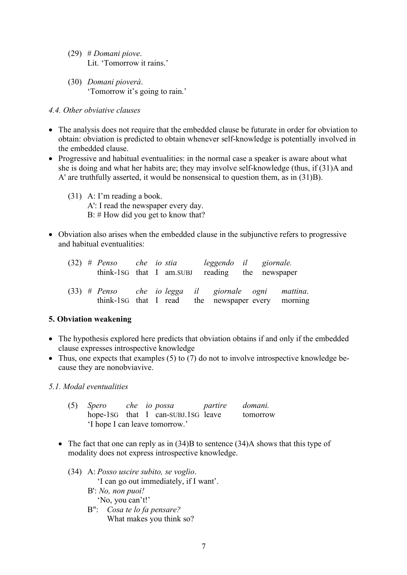- (29) # *Domani piove*. Lit. 'Tomorrow it rains.'
- (30) *Domani pioverà*. 'Tomorrow it's going to rain.'

### *4.4. Other obviative clauses*

- The analysis does not require that the embedded clause be futurate in order for obviation to obtain: obviation is predicted to obtain whenever self-knowledge is potentially involved in the embedded clause.
- Progressive and habitual eventualities: in the normal case a speaker is aware about what she is doing and what her habits are; they may involve self-knowledge (thus, if (31)A and A' are truthfully asserted, it would be nonsensical to question them, as in (31)B).
	- (31) A: I'm reading a book. A': I read the newspaper every day. B: # How did you get to know that?
- Obviation also arises when the embedded clause in the subjunctive refers to progressive and habitual eventualities:

|  |  |  | $(32)$ # Penso che io stia leggendo il giornale.<br>think-1sG that I am. SUBJ reading the newspaper        |  |  |
|--|--|--|------------------------------------------------------------------------------------------------------------|--|--|
|  |  |  | $(33)$ # Penso che io legga il giornale ogni mattina.<br>think-1sG that I read the newspaper every morning |  |  |

# **5. Obviation weakening**

- The hypothesis explored here predicts that obviation obtains if and only if the embedded clause expresses introspective knowledge
- Thus, one expects that examples (5) to (7) do not to involve introspective knowledge because they are nonobviavive.

# *5.1. Modal eventualities*

|                                |  |  | (5) Spero che io possa partire domani. |  |          |  |  |  |
|--------------------------------|--|--|----------------------------------------|--|----------|--|--|--|
|                                |  |  | hope-1sG that I can-SUBJ.1sG leave     |  | tomorrow |  |  |  |
| 'I hope I can leave tomorrow.' |  |  |                                        |  |          |  |  |  |

- The fact that one can reply as in (34)B to sentence (34)A shows that this type of modality does not express introspective knowledge.
	- (34) A: *Posso uscire subito, se voglio*. 'I can go out immediately, if I want'. B': *No, non puoi!* 'No, you can't!'
		- B": *Cosa te lo fa pensare?*
			- What makes you think so?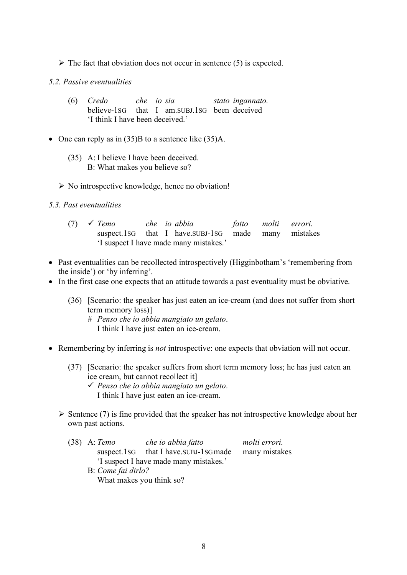$\triangleright$  The fact that obviation does not occur in sentence (5) is expected.

#### *5.2. Passive eventualities*

- (6) *Credo che io sia stato ingannato.* believe-1SG that I am.SUBJ.1SG been deceived 'I think I have been deceived.'
- One can reply as in (35)B to a sentence like (35)A.
	- (35) A: I believe I have been deceived. B: What makes you believe so?
	- $\triangleright$  No introspective knowledge, hence no obviation!
- *5.3. Past eventualities*

|                                        | $(7)$ $\checkmark$ Temo |  |  | che io abbia                                          |  | fatto molti errori. |  |
|----------------------------------------|-------------------------|--|--|-------------------------------------------------------|--|---------------------|--|
|                                        |                         |  |  | suspect. 1sG that I have. SUBJ-1SG made many mistakes |  |                     |  |
| 'I suspect I have made many mistakes.' |                         |  |  |                                                       |  |                     |  |

- Past eventualities can be recollected introspectively (Higginbotham's 'remembering from the inside') or 'by inferring'.
- In the first case one expects that an attitude towards a past eventuality must be obviative.
	- (36) [Scenario: the speaker has just eaten an ice-cream (and does not suffer from short term memory loss)]
		- *# Penso che io abbia mangiato un gelato*. I think I have just eaten an ice-cream.
- Remembering by inferring is *not* introspective: one expects that obviation will not occur.
	- (37) [Scenario: the speaker suffers from short term memory loss; he has just eaten an ice cream, but cannot recollect it]
		- ü *Penso che io abbia mangiato un gelato*. I think I have just eaten an ice-cream.
	- $\triangleright$  Sentence (7) is fine provided that the speaker has not introspective knowledge about her own past actions.
		- (38) A: *Temo che io abbia fatto molti errori.* suspect.1sG that I have.SUBJ-1SGmade many mistakes 'I suspect I have made many mistakes.'
			- B: *Come fai dirlo?* What makes you think so?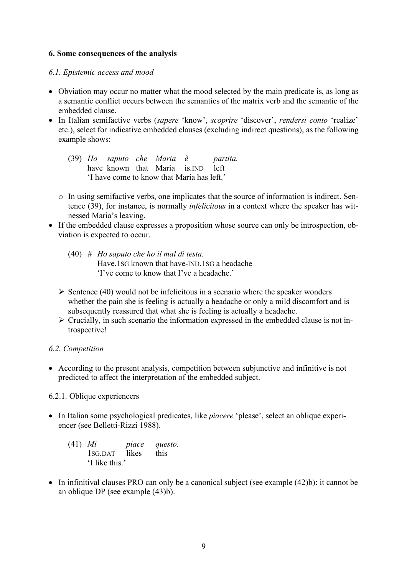#### **6. Some consequences of the analysis**

### *6.1. Epistemic access and mood*

- Obviation may occur no matter what the mood selected by the main predicate is, as long as a semantic conflict occurs between the semantics of the matrix verb and the semantic of the embedded clause.
- In Italian semifactive verbs (*sapere* 'know', *scoprire* 'discover', *rendersi conto* 'realize' etc.), select for indicative embedded clauses (excluding indirect questions), as the following example shows:
	- (39) *Ho saputo che Maria è partita.* have known that Maria is IND left 'I have come to know that Maria has left.'
	- o In using semifactive verbs, one implicates that the source of information is indirect. Sentence (39), for instance, is normally *infelicitous* in a context where the speaker has witnessed Maria's leaving.
- If the embedded clause expresses a proposition whose source can only be introspection, obviation is expected to occur.
	- (40) *# Ho saputo che ho il mal di testa.* Have.1SG known that have-IND.1SG a headache 'I've come to know that I've a headache.'
	- $\triangleright$  Sentence (40) would not be infelicitous in a scenario where the speaker wonders whether the pain she is feeling is actually a headache or only a mild discomfort and is subsequently reassured that what she is feeling is actually a headache.
	- $\triangleright$  Crucially, in such scenario the information expressed in the embedded clause is not introspective!

# *6.2. Competition*

• According to the present analysis, competition between subjunctive and infinitive is not predicted to affect the interpretation of the embedded subject.

# 6.2.1. Oblique experiencers

• In Italian some psychological predicates, like *piacere* 'please', select an oblique experiencer (see Belletti-Rizzi 1988).

| $(41)$ <i>Mi</i> |                | piace | questo. |
|------------------|----------------|-------|---------|
|                  | 1SG.DAT likes  |       | this    |
|                  | 'I like this.' |       |         |

• In infinitival clauses PRO can only be a canonical subject (see example (42)b): it cannot be an oblique DP (see example (43)b).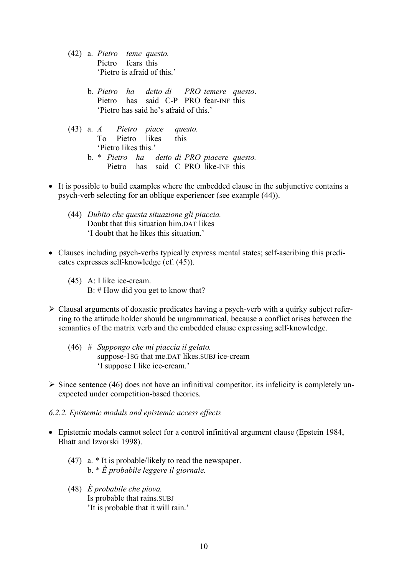- (42) a. *Pietro teme questo.* Pietro fears this 'Pietro is afraid of this.'
	- b. *Pietro ha detto di PRO temere questo*. Pietro has said C-P PRO fear-INF this 'Pietro has said he's afraid of this.'
- (43) a. *A Pietro piace questo.* To Pietro likes this 'Pietro likes this.'
	- b. \* *Pietro ha detto di PRO piacere questo.* Pietro has said C PRO like-INF this
- It is possible to build examples where the embedded clause in the subjunctive contains a psych-verb selecting for an oblique experiencer (see example (44)).
	- (44) *Dubito che questa situazione gli piaccia.* Doubt that this situation him.DAT likes 'I doubt that he likes this situation.'
- Clauses including psych-verbs typically express mental states; self-ascribing this predicates expresses self-knowledge (cf. (45)).
	- (45) A: I like ice-cream. B: # How did you get to know that?
- $\triangleright$  Clausal arguments of doxastic predicates having a psych-verb with a quirky subject referring to the attitude holder should be ungrammatical, because a conflict arises between the semantics of the matrix verb and the embedded clause expressing self-knowledge.
	- (46) *# Suppongo che mi piaccia il gelato.* suppose-1SG that me.DAT likes.SUBJ ice-cream 'I suppose I like ice-cream.'
- $\triangleright$  Since sentence (46) does not have an infinitival competitor, its infelicity is completely unexpected under competition-based theories.
- *6.2.2. Epistemic modals and epistemic access effects*
- Epistemic modals cannot select for a control infinitival argument clause (Epstein 1984, Bhatt and Izvorski 1998).
	- (47) a. \* It is probable/likely to read the newspaper. b. \* *È probabile leggere il giornale.*
	- (48) *È probabile che piova.* Is probable that rains.SUBJ 'It is probable that it will rain.'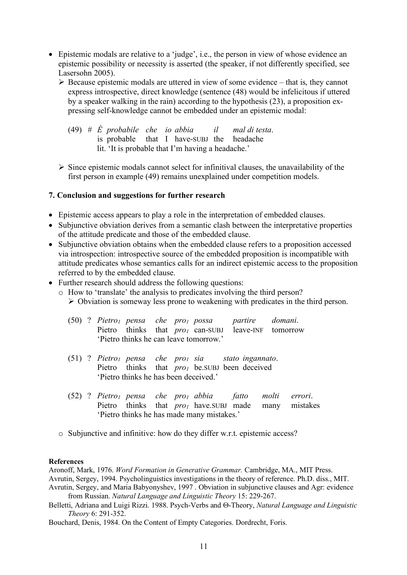- Epistemic modals are relative to a 'judge', i.e., the person in view of whose evidence an epistemic possibility or necessity is asserted (the speaker, if not differently specified, see Lasersohn 2005).
	- $\triangleright$  Because epistemic modals are uttered in view of some evidence that is, they cannot express introspective, direct knowledge (sentence (48) would be infelicitous if uttered by a speaker walking in the rain) according to the hypothesis (23), a proposition expressing self-knowledge cannot be embedded under an epistemic modal:

|  |  |  |                                                   | (49) $\#$ E probabile che io abbia il mal di testa. |
|--|--|--|---------------------------------------------------|-----------------------------------------------------|
|  |  |  | is probable that I have-SUBJ the headache         |                                                     |
|  |  |  | lit. 'It is probable that I'm having a headache.' |                                                     |

 $\triangleright$  Since epistemic modals cannot select for infinitival clauses, the unavailability of the first person in example (49) remains unexplained under competition models.

### **7. Conclusion and suggestions for further research**

- Epistemic access appears to play a role in the interpretation of embedded clauses.
- Subjunctive obviation derives from a semantic clash between the interpretative properties of the attitude predicate and those of the embedded clause.
- Subjunctive obviation obtains when the embedded clause refers to a proposition accessed via introspection: introspective source of the embedded proposition is incompatible with attitude predicates whose semantics calls for an indirect epistemic access to the proposition referred to by the embedded clause.
- Further research should address the following questions:
	- o How to 'translate' the analysis to predicates involving the third person?  $\triangleright$  Obviation is someway less prone to weakening with predicates in the third person.

|  |                                        |  |  | $(50)$ ? Pietro <sub>1</sub> pensa che pro <sub>1</sub> possa partire domani. |  |
|--|----------------------------------------|--|--|-------------------------------------------------------------------------------|--|
|  |                                        |  |  | Pietro thinks that <i>pro<sub>l</sub></i> can-SUBJ leave-INF tomorrow         |  |
|  | 'Pietro thinks he can leave tomorrow.' |  |  |                                                                               |  |

- (51) ? *Pietro1 pensa che pro1 sia stato ingannato*. Pietro thinks that *pro<sub>1</sub>* be.SUBJ been deceived 'Pietro thinks he has been deceived.'
- (52) ? *Pietro1 pensa che pro1 abbia fatto molti errori*. Pietro thinks that *pro<sub>1</sub>* have.SUBJ made many mistakes 'Pietro thinks he has made many mistakes.'
- o Subjunctive and infinitive: how do they differ w.r.t. epistemic access?

#### **References**

Aronoff, Mark, 1976. *Word Formation in Generative Grammar.* Cambridge, MA., MIT Press. Avrutin, Sergey, 1994. Psycholinguistics investigations in the theory of reference. Ph.D. diss., MIT. Avrutin, Sergey, and Maria Babyonyshev, 1997 . Obviation in subjunctive clauses and Agr: evidence from Russian. *Natural Language and Linguistic Theory* 15: 229-267.

Belletti, Adriana and Luigi Rizzi. 1988. Psych-Verbs and Q-Theory, *Natural Language and Linguistic Theory* 6: 291-352.

Bouchard, Denis, 1984. On the Content of Empty Categories. Dordrecht, Foris.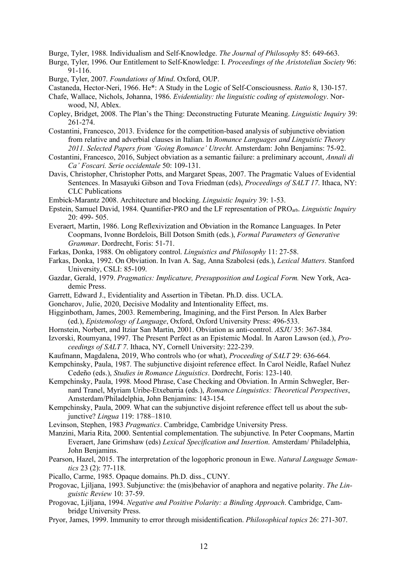Burge, Tyler, 1988. Individualism and Self-Knowledge. *The Journal of Philosophy* 85: 649-663.

- Burge, Tyler, 1996. Our Entitlement to Self-Knowledge: I. *Proceedings of the Aristotelian Society* 96: 91-116.
- Burge, Tyler, 2007. *Foundations of Mind*. Oxford, OUP.
- Castaneda, Hector-Neri, 1966. He\*: A Study in the Logic of Self-Consciousness. *Ratio* 8, 130-157.
- Chafe, Wallace, Nichols, Johanna, 1986. *Evidentiality: the linguistic coding of epistemology*. Norwood, NJ, Ablex.
- Copley, Bridget, 2008. The Plan's the Thing: Deconstructing Futurate Meaning. *Linguistic Inquiry* 39: 261-274.
- Costantini, Francesco, 2013. Evidence for the competition-based analysis of subjunctive obviation from relative and adverbial clauses in Italian. In *Romance Languages and Linguistic Theory 2011. Selected Papers from 'Going Romance' Utrecht.* Amsterdam: John Benjamins: 75-92.
- Costantini, Francesco, 2016, Subject obviation as a semantic failure: a preliminary account, *Annali di Ca' Foscari. Serie occidentale* 50: 109-131.
- Davis, Christopher, Christopher Potts, and Margaret Speas, 2007. The Pragmatic Values of Evidential Sentences. In Masayuki Gibson and Tova Friedman (eds), *Proceedings of SALT 17*. Ithaca, NY: CLC Publications
- Embick-Marantz 2008. Architecture and blocking. *Linguistic Inquiry* 39: 1-53.
- Epstein, Samuel David, 1984. Quantifier-PRO and the LF representation of PROarb. *Linguistic Inquiry* 20: 499- 505.
- Everaert, Martin, 1986. Long Reflexivization and Obviation in the Romance Languages. In Peter Coopmans, Ivonne Bordelois, Bill Dotson Smith (eds.), *Formal Parameters of Generative Grammar*. Dordrecht, Foris: 51-71.
- Farkas, Donka, 1988. On obligatory control. *Linguistics and Philosophy* 11: 27-58.
- Farkas, Donka, 1992. On Obviation. In Ivan A. Sag, Anna Szabolcsi (eds.), *Lexical Matters*. Stanford University, CSLI: 85-109.
- Gazdar, Gerald, 1979. *Pragmatics: Implicature, Presupposition and Logical Form.* New York, Academic Press.
- Garrett, Edward J., Evidentiality and Assertion in Tibetan. Ph.D. diss. UCLA.
- Goncharov, Julie, 2020, Decisive Modality and Intentionality Effect, ms.
- Higginbotham, James, 2003. Remembering, Imagining, and the First Person. In Alex Barber (ed.), *Epistemology of Language*, Oxford, Oxford University Press: 496-533.
- Hornstein, Norbert, and Itziar San Martin, 2001. Obviation as anti-control. *ASJU* 35: 367-384.
- Izvorski, Roumyana, 1997. The Present Perfect as an Epistemic Modal. In Aaron Lawson (ed.), *Proceedings of SALT 7*. Ithaca, NY, Cornell University: 222-239.
- Kaufmann, Magdalena, 2019, Who controls who (or what), *Proceeding of SALT* 29: 636-664.
- Kempchinsky, Paula, 1987. The subjunctive disjoint reference effect. In Carol Neidle, Rafael Nuñez Cedeño (eds.), *Studies in Romance Linguistics*. Dordrecht, Foris: 123-140.
- Kempchinsky, Paula, 1998. Mood Phrase, Case Checking and Obviation. In Armin Schwegler, Bernard Tranel, Myriam Uribe-Etxebarria (eds.), *Romance Linguistics: Theoretical Perspectives*, Amsterdam/Philadelphia, John Benjamins: 143-154.
- Kempchinsky, Paula, 2009. What can the subjunctive disjoint reference effect tell us about the subjunctive? *Lingua* 119: 1788–1810.
- Levinson, Stephen, 1983 *Pragmatics*. Cambridge, Cambridge University Press.
- Manzini, Maria Rita, 2000. Sentential complementation. The subjunctive. In Peter Coopmans, Martin Everaert, Jane Grimshaw (eds) *Lexical Specification and Insertion*. Amsterdam/ Philadelphia, John Benjamins.
- Pearson, Hazel, 2015. The interpretation of the logophoric pronoun in Ewe. *Natural Language Semantics* 23 (2): 77-118.
- Picallo, Carme, 1985. Opaque domains. Ph.D. diss., CUNY.
- Progovac, Ljiljana, 1993. Subjunctive: the (mis)behavior of anaphora and negative polarity. *The Linguistic Review* 10: 37-59.
- Progovac, Ljiljana, 1994. *Negative and Positive Polarity: a Binding Approach*. Cambridge, Cambridge University Press.
- Pryor, James, 1999. Immunity to error through misidentification. *Philosophical topics* 26: 271-307.